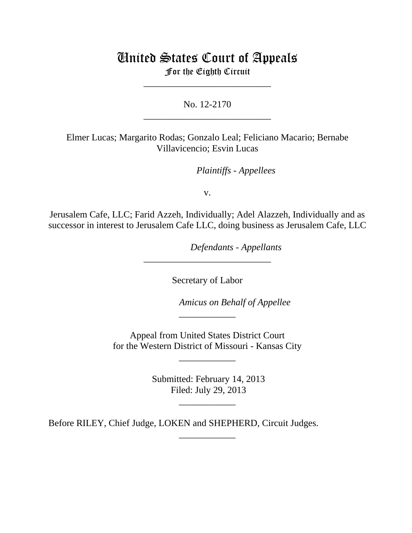# United States Court of Appeals For the Eighth Circuit

\_\_\_\_\_\_\_\_\_\_\_\_\_\_\_\_\_\_\_\_\_\_\_\_\_\_\_

No. 12-2170 \_\_\_\_\_\_\_\_\_\_\_\_\_\_\_\_\_\_\_\_\_\_\_\_\_\_\_

Elmer Lucas; Margarito Rodas; Gonzalo Leal; Feliciano Macario; Bernabe Villavicencio; Esvin Lucas

*Plaintiffs - Appellees* 

v.

Jerusalem Cafe, LLC; Farid Azzeh, Individually; Adel Alazzeh, Individually and as successor in interest to Jerusalem Cafe LLC, doing business as Jerusalem Cafe, LLC

lllllllllllllllllllll *Defendants - Appellants*

Secretary of Labor

\_\_\_\_\_\_\_\_\_\_\_\_\_\_\_\_\_\_\_\_\_\_\_\_\_\_\_

Amicus on Behalf of Appellee

 Appeal from United States District Court for the Western District of Missouri - Kansas City

\_\_\_\_\_\_\_\_\_\_\_\_

\_\_\_\_\_\_\_\_\_\_\_\_

 Submitted: February 14, 2013 Filed: July 29, 2013

\_\_\_\_\_\_\_\_\_\_\_\_

\_\_\_\_\_\_\_\_\_\_\_\_

Before RILEY, Chief Judge, LOKEN and SHEPHERD, Circuit Judges.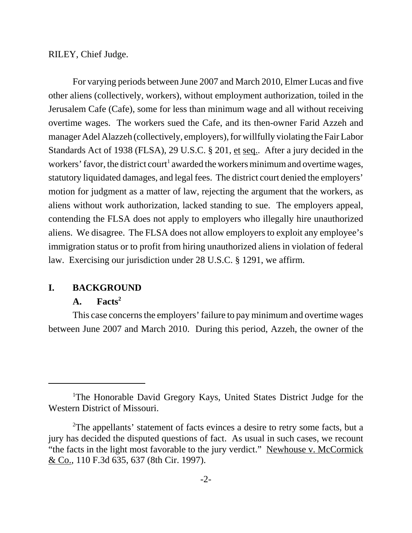RILEY, Chief Judge.

For varying periods between June 2007 and March 2010, Elmer Lucas and five other aliens (collectively, workers), without employment authorization, toiled in the Jerusalem Cafe (Cafe), some for less than minimum wage and all without receiving overtime wages. The workers sued the Cafe, and its then-owner Farid Azzeh and manager Adel Alazzeh (collectively, employers), for willfully violating the Fair Labor Standards Act of 1938 (FLSA), 29 U.S.C. § 201, et seq.. After a jury decided in the workers' favor, the district court<sup>1</sup> awarded the workers minimum and overtime wages, statutory liquidated damages, and legal fees. The district court denied the employers' motion for judgment as a matter of law, rejecting the argument that the workers, as aliens without work authorization, lacked standing to sue. The employers appeal, contending the FLSA does not apply to employers who illegally hire unauthorized aliens. We disagree. The FLSA does not allow employers to exploit any employee's immigration status or to profit from hiring unauthorized aliens in violation of federal law. Exercising our jurisdiction under 28 U.S.C. § 1291, we affirm.

### **I. BACKGROUND**

### A. Facts<sup>2</sup>

This case concerns the employers' failure to pay minimum and overtime wages between June 2007 and March 2010. During this period, Azzeh, the owner of the

<sup>&</sup>lt;sup>1</sup>The Honorable David Gregory Kays, United States District Judge for the Western District of Missouri.

<sup>&</sup>lt;sup>2</sup>The appellants' statement of facts evinces a desire to retry some facts, but a jury has decided the disputed questions of fact. As usual in such cases, we recount "the facts in the light most favorable to the jury verdict." Newhouse v. McCormick & Co., 110 F.3d 635, 637 (8th Cir. 1997).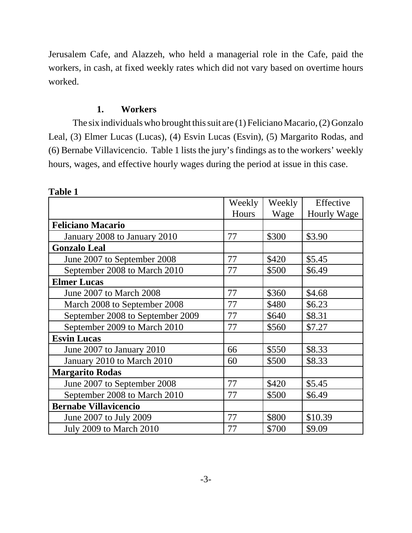Jerusalem Cafe, and Alazzeh, who held a managerial role in the Cafe, paid the workers, in cash, at fixed weekly rates which did not vary based on overtime hours worked.

# **1. Workers**

The six individuals who brought this suit are (1) Feliciano Macario, (2) Gonzalo Leal, (3) Elmer Lucas (Lucas), (4) Esvin Lucas (Esvin), (5) Margarito Rodas, and (6) Bernabe Villavicencio. Table 1 lists the jury's findings as to the workers' weekly hours, wages, and effective hourly wages during the period at issue in this case.

|                                  | Weekly | Weekly | Effective   |
|----------------------------------|--------|--------|-------------|
|                                  | Hours  | Wage   | Hourly Wage |
| <b>Feliciano Macario</b>         |        |        |             |
| January 2008 to January 2010     | 77     | \$300  | \$3.90      |
| <b>Gonzalo Leal</b>              |        |        |             |
| June 2007 to September 2008      | 77     | \$420  | \$5.45      |
| September 2008 to March 2010     | 77     | \$500  | \$6.49      |
| <b>Elmer Lucas</b>               |        |        |             |
| June 2007 to March 2008          | 77     | \$360  | \$4.68      |
| March 2008 to September 2008     | 77     | \$480  | \$6.23      |
| September 2008 to September 2009 | 77     | \$640  | \$8.31      |
| September 2009 to March 2010     | 77     | \$560  | \$7.27      |
| <b>Esvin Lucas</b>               |        |        |             |
| June 2007 to January 2010        | 66     | \$550  | \$8.33      |
| January 2010 to March 2010       | 60     | \$500  | \$8.33      |
| <b>Margarito Rodas</b>           |        |        |             |
| June 2007 to September 2008      | 77     | \$420  | \$5.45      |
| September 2008 to March 2010     | 77     | \$500  | \$6.49      |
| <b>Bernabe Villavicencio</b>     |        |        |             |
| June 2007 to July 2009           | 77     | \$800  | \$10.39     |
| <b>July 2009 to March 2010</b>   | 77     | \$700  | \$9.09      |

**Table 1**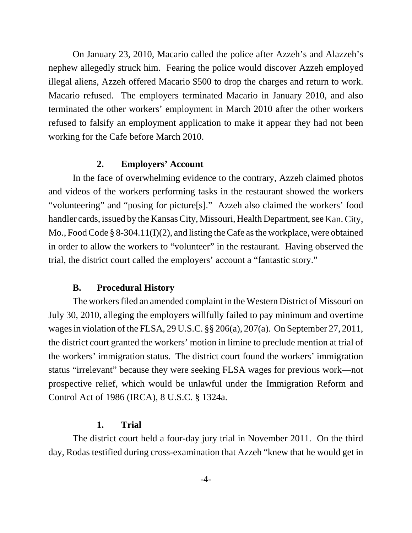On January 23, 2010, Macario called the police after Azzeh's and Alazzeh's nephew allegedly struck him. Fearing the police would discover Azzeh employed illegal aliens, Azzeh offered Macario \$500 to drop the charges and return to work. Macario refused. The employers terminated Macario in January 2010, and also terminated the other workers' employment in March 2010 after the other workers refused to falsify an employment application to make it appear they had not been working for the Cafe before March 2010.

### **2. Employers' Account**

In the face of overwhelming evidence to the contrary, Azzeh claimed photos and videos of the workers performing tasks in the restaurant showed the workers "volunteering" and "posing for picture[s]." Azzeh also claimed the workers' food handler cards, issued by the Kansas City, Missouri, Health Department, see Kan. City, Mo., Food Code § 8-304.11(I)(2), and listing the Cafe as the workplace, were obtained in order to allow the workers to "volunteer" in the restaurant. Having observed the trial, the district court called the employers' account a "fantastic story."

# **B. Procedural History**

The workers filed an amended complaint in the Western District of Missouri on July 30, 2010, alleging the employers willfully failed to pay minimum and overtime wages in violation of the FLSA, 29 U.S.C. §§ 206(a), 207(a). On September 27, 2011, the district court granted the workers' motion in limine to preclude mention at trial of the workers' immigration status. The district court found the workers' immigration status "irrelevant" because they were seeking FLSA wages for previous work—not prospective relief, which would be unlawful under the Immigration Reform and Control Act of 1986 (IRCA), 8 U.S.C. § 1324a.

### **1. Trial**

The district court held a four-day jury trial in November 2011. On the third day, Rodas testified during cross-examination that Azzeh "knew that he would get in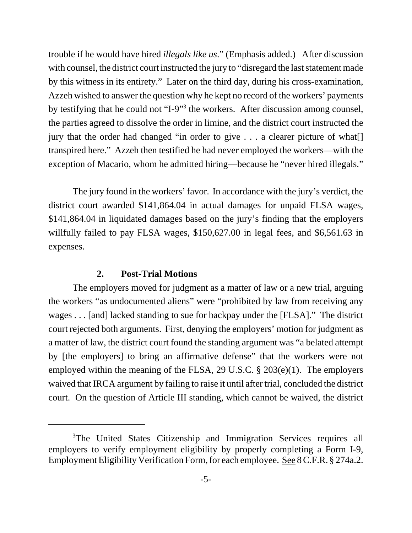trouble if he would have hired *illegals like us*." (Emphasis added.) After discussion with counsel, the district court instructed the jury to "disregard the last statement made by this witness in its entirety." Later on the third day, during his cross-examination, Azzeh wished to answer the question why he kept no record of the workers' payments by testifying that he could not "I-9"<sup>3</sup> the workers. After discussion among counsel, the parties agreed to dissolve the order in limine, and the district court instructed the jury that the order had changed "in order to give . . . a clearer picture of what[] transpired here." Azzeh then testified he had never employed the workers—with the exception of Macario, whom he admitted hiring—because he "never hired illegals."

The jury found in the workers' favor. In accordance with the jury's verdict, the district court awarded \$141,864.04 in actual damages for unpaid FLSA wages, \$141,864.04 in liquidated damages based on the jury's finding that the employers willfully failed to pay FLSA wages, \$150,627.00 in legal fees, and \$6,561.63 in expenses.

#### **2. Post-Trial Motions**

The employers moved for judgment as a matter of law or a new trial, arguing the workers "as undocumented aliens" were "prohibited by law from receiving any wages . . . [and] lacked standing to sue for backpay under the [FLSA]." The district court rejected both arguments. First, denying the employers' motion for judgment as a matter of law, the district court found the standing argument was "a belated attempt by [the employers] to bring an affirmative defense" that the workers were not employed within the meaning of the FLSA, 29 U.S.C. § 203(e)(1). The employers waived that IRCA argument by failing to raise it until after trial, concluded the district court. On the question of Article III standing, which cannot be waived, the district

<sup>&</sup>lt;sup>3</sup>The United States Citizenship and Immigration Services requires all employers to verify employment eligibility by properly completing a Form I-9, Employment Eligibility Verification Form, for each employee. See 8 C.F.R. § 274a.2.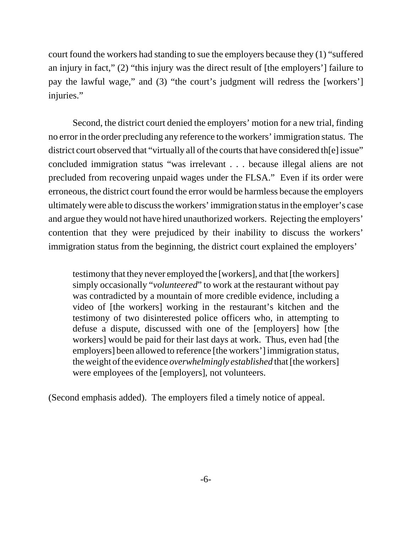court found the workers had standing to sue the employers because they (1) "suffered an injury in fact," (2) "this injury was the direct result of [the employers'] failure to pay the lawful wage," and (3) "the court's judgment will redress the [workers'] injuries."

Second, the district court denied the employers' motion for a new trial, finding no error in the order precluding any reference to the workers' immigration status. The district court observed that "virtually all of the courts that have considered th[e] issue" concluded immigration status "was irrelevant . . . because illegal aliens are not precluded from recovering unpaid wages under the FLSA." Even if its order were erroneous, the district court found the error would be harmless because the employers ultimately were able to discuss the workers' immigration status in the employer's case and argue they would not have hired unauthorized workers. Rejecting the employers' contention that they were prejudiced by their inability to discuss the workers' immigration status from the beginning, the district court explained the employers'

testimony that they never employed the [workers], and that [the workers] simply occasionally "*volunteered*" to work at the restaurant without pay was contradicted by a mountain of more credible evidence, including a video of [the workers] working in the restaurant's kitchen and the testimony of two disinterested police officers who, in attempting to defuse a dispute, discussed with one of the [employers] how [the workers] would be paid for their last days at work. Thus, even had [the employers] been allowed to reference [the workers'] immigration status, the weight of the evidence *overwhelmingly established* that [the workers] were employees of the [employers], not volunteers.

(Second emphasis added). The employers filed a timely notice of appeal.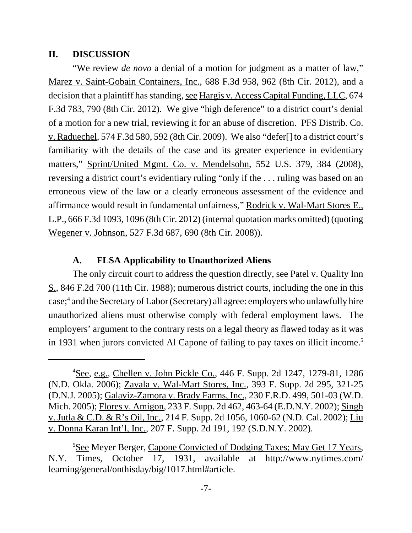#### **II. DISCUSSION**

"We review *de novo* a denial of a motion for judgment as a matter of law," Marez v. Saint-Gobain Containers, Inc., 688 F.3d 958, 962 (8th Cir. 2012), and a decision that a plaintiff has standing, see Hargis v. Access Capital Funding, LLC, 674 F.3d 783, 790 (8th Cir. 2012). We give "high deference" to a district court's denial of a motion for a new trial, reviewing it for an abuse of discretion. PFS Distrib. Co. v. Raduechel, 574 F.3d 580, 592 (8th Cir. 2009). We also "defer[] to a district court's familiarity with the details of the case and its greater experience in evidentiary matters," Sprint/United Mgmt. Co. v. Mendelsohn, 552 U.S. 379, 384 (2008), reversing a district court's evidentiary ruling "only if the . . . ruling was based on an erroneous view of the law or a clearly erroneous assessment of the evidence and affirmance would result in fundamental unfairness," Rodrick v. Wal-Mart Stores E., L.P., 666 F.3d 1093, 1096 (8th Cir. 2012) (internal quotation marks omitted) (quoting Wegener v. Johnson, 527 F.3d 687, 690 (8th Cir. 2008)).

#### **A. FLSA Applicability to Unauthorized Aliens**

The only circuit court to address the question directly, see Patel v. Quality Inn S., 846 F.2d 700 (11th Cir. 1988); numerous district courts, including the one in this case;<sup>4</sup> and the Secretary of Labor (Secretary) all agree: employers who unlawfully hire unauthorized aliens must otherwise comply with federal employment laws. The employers' argument to the contrary rests on a legal theory as flawed today as it was in 1931 when jurors convicted Al Capone of failing to pay taxes on illicit income.<sup>5</sup>

<sup>&</sup>lt;sup>4</sup>See, e.g., Chellen v. John Pickle Co., 446 F. Supp. 2d 1247, 1279-81, 1286 (N.D. Okla. 2006); Zavala v. Wal-Mart Stores, Inc., 393 F. Supp. 2d 295, 321-25 (D.N.J. 2005); Galaviz-Zamora v. Brady Farms, Inc., 230 F.R.D. 499, 501-03 (W.D. Mich. 2005); Flores v. Amigon, 233 F. Supp. 2d 462, 463-64 (E.D.N.Y. 2002); Singh v. Jutla & C.D. & R's Oil, Inc., 214 F. Supp. 2d 1056, 1060-62 (N.D. Cal. 2002); Liu v. Donna Karan Int'l, Inc., 207 F. Supp. 2d 191, 192 (S.D.N.Y. 2002).

<sup>&</sup>lt;sup>5</sup>See Meyer Berger, Capone Convicted of Dodging Taxes; May Get 17 Years, N.Y. Times, October 17, 1931, available at http://www.nytimes.com/ learning/general/onthisday/big/1017.html#article.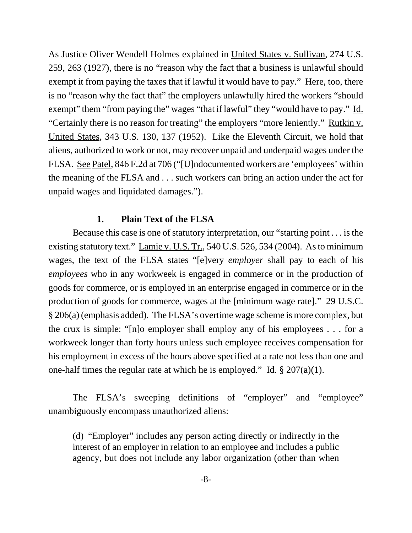As Justice Oliver Wendell Holmes explained in United States v. Sullivan, 274 U.S. 259, 263 (1927), there is no "reason why the fact that a business is unlawful should exempt it from paying the taxes that if lawful it would have to pay." Here, too, there is no "reason why the fact that" the employers unlawfully hired the workers "should exempt" them "from paying the" wages "that if lawful" they "would have to pay." Id. "Certainly there is no reason for treating" the employers "more leniently." Rutkin v. United States, 343 U.S. 130, 137 (1952). Like the Eleventh Circuit, we hold that aliens, authorized to work or not, may recover unpaid and underpaid wages under the FLSA. See Patel, 846 F.2d at 706 ("[U]ndocumented workers are 'employees' within the meaning of the FLSA and . . . such workers can bring an action under the act for unpaid wages and liquidated damages.").

### **1. Plain Text of the FLSA**

Because this case is one of statutory interpretation, our "starting point . . . is the existing statutory text." Lamie v. U.S. Tr., 540 U.S. 526, 534 (2004). As to minimum wages, the text of the FLSA states "[e]very *employer* shall pay to each of his *employees* who in any workweek is engaged in commerce or in the production of goods for commerce, or is employed in an enterprise engaged in commerce or in the production of goods for commerce, wages at the [minimum wage rate]." 29 U.S.C. § 206(a) (emphasis added). The FLSA's overtime wage scheme is more complex, but the crux is simple: "[n]o employer shall employ any of his employees . . . for a workweek longer than forty hours unless such employee receives compensation for his employment in excess of the hours above specified at a rate not less than one and one-half times the regular rate at which he is employed." Id.  $\S 207(a)(1)$ .

The FLSA's sweeping definitions of "employer" and "employee" unambiguously encompass unauthorized aliens:

(d) "Employer" includes any person acting directly or indirectly in the interest of an employer in relation to an employee and includes a public agency, but does not include any labor organization (other than when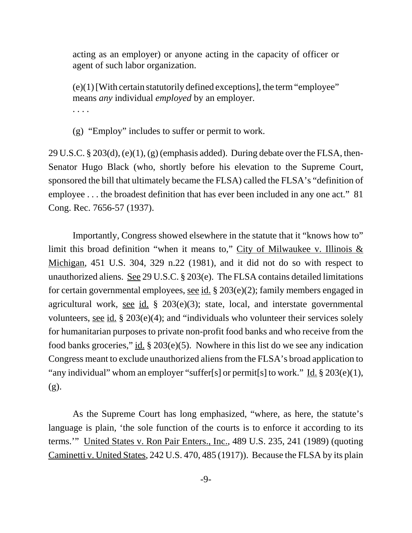acting as an employer) or anyone acting in the capacity of officer or agent of such labor organization.

(e)(1) [With certain statutorily defined exceptions], the term "employee" means *any* individual *employed* by an employer. . . . .

(g) "Employ" includes to suffer or permit to work.

29 U.S.C. § 203(d), (e)(1), (g) (emphasis added). During debate over the FLSA, then-Senator Hugo Black (who, shortly before his elevation to the Supreme Court, sponsored the bill that ultimately became the FLSA) called the FLSA's "definition of employee ... the broadest definition that has ever been included in any one act." 81 Cong. Rec. 7656-57 (1937).

Importantly, Congress showed elsewhere in the statute that it "knows how to" limit this broad definition "when it means to," City of Milwaukee v. Illinois  $\&$ Michigan, 451 U.S. 304, 329 n.22 (1981), and it did not do so with respect to unauthorized aliens. See 29 U.S.C. § 203(e). The FLSA contains detailed limitations for certain governmental employees, see id. § 203(e)(2); family members engaged in agricultural work, see id.  $\S$  203(e)(3); state, local, and interstate governmental volunteers, <u>see id.</u> § 203 $(e)(4)$ ; and "individuals who volunteer their services solely for humanitarian purposes to private non-profit food banks and who receive from the food banks groceries," id.  $\S 203(e)(5)$ . Nowhere in this list do we see any indication Congress meant to exclude unauthorized aliens from the FLSA's broad application to "any individual" whom an employer "suffer[s] or permit[s] to work." Id.  $\S 203(e)(1)$ , (g).

As the Supreme Court has long emphasized, "where, as here, the statute's language is plain, 'the sole function of the courts is to enforce it according to its terms.'" United States v. Ron Pair Enters., Inc., 489 U.S. 235, 241 (1989) (quoting Caminetti v. United States, 242 U.S. 470, 485 (1917)). Because the FLSA by its plain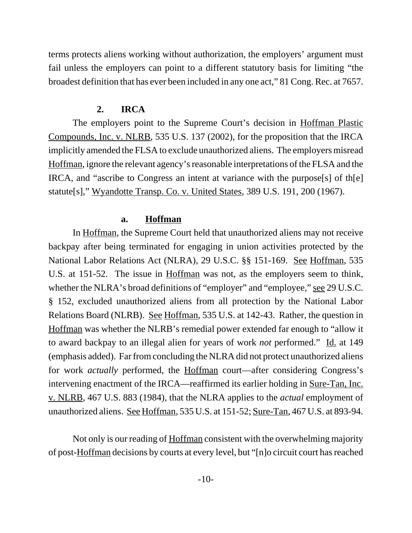terms protects aliens working without authorization, the employers' argument must fail unless the employers can point to a different statutory basis for limiting "the broadest definition that has ever been included in any one act," 81 Cong. Rec. at 7657.

#### **2. IRCA**

The employers point to the Supreme Court's decision in Hoffman Plastic Compounds, Inc. v. NLRB, 535 U.S. 137 (2002), for the proposition that the IRCA implicitly amended the FLSA to exclude unauthorized aliens. The employers misread Hoffman, ignore the relevant agency's reasonable interpretations of the FLSA and the IRCA, and "ascribe to Congress an intent at variance with the purpose[s] of th[e] statute[s]," Wyandotte Transp. Co. v. United States, 389 U.S. 191, 200 (1967).

#### **a. Hoffman**

In Hoffman, the Supreme Court held that unauthorized aliens may not receive backpay after being terminated for engaging in union activities protected by the National Labor Relations Act (NLRA), 29 U.S.C. §§ 151-169. See Hoffman, 535 U.S. at 151-52. The issue in Hoffman was not, as the employers seem to think, whether the NLRA's broad definitions of "employer" and "employee," <u>see</u> 29 U.S.C. § 152, excluded unauthorized aliens from all protection by the National Labor Relations Board (NLRB). See Hoffman, 535 U.S. at 142-43. Rather, the question in Hoffman was whether the NLRB's remedial power extended far enough to "allow it to award backpay to an illegal alien for years of work *not* performed." Id. at 149 (emphasis added). Far from concluding the NLRA did not protect unauthorized aliens for work *actually* performed, the Hoffman court—after considering Congress's intervening enactment of the IRCA—reaffirmed its earlier holding in Sure-Tan, Inc. v. NLRB, 467 U.S. 883 (1984), that the NLRA applies to the *actual* employment of unauthorized aliens. See Hoffman, 535 U.S. at 151-52; Sure-Tan, 467 U.S. at 893-94.

Not only is our reading of Hoffman consistent with the overwhelming majority of post-Hoffman decisions by courts at every level, but "[n]o circuit court has reached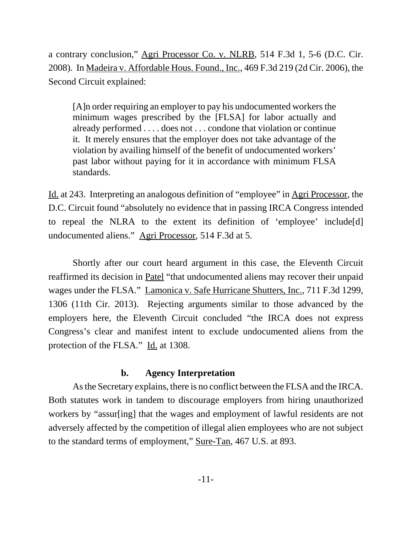a contrary conclusion," Agri Processor Co. v. NLRB, 514 F.3d 1, 5-6 (D.C. Cir. 2008). In Madeira v. Affordable Hous. Found., Inc., 469 F.3d 219 (2d Cir. 2006), the Second Circuit explained:

[A]n order requiring an employer to pay his undocumented workers the minimum wages prescribed by the [FLSA] for labor actually and already performed . . . . does not . . . condone that violation or continue it. It merely ensures that the employer does not take advantage of the violation by availing himself of the benefit of undocumented workers' past labor without paying for it in accordance with minimum FLSA standards.

Id. at 243. Interpreting an analogous definition of "employee" in Agri Processor, the D.C. Circuit found "absolutely no evidence that in passing IRCA Congress intended to repeal the NLRA to the extent its definition of 'employee' include[d] undocumented aliens." Agri Processor, 514 F.3d at 5.

Shortly after our court heard argument in this case, the Eleventh Circuit reaffirmed its decision in Patel "that undocumented aliens may recover their unpaid wages under the FLSA." Lamonica v. Safe Hurricane Shutters, Inc., 711 F.3d 1299, 1306 (11th Cir. 2013). Rejecting arguments similar to those advanced by the employers here, the Eleventh Circuit concluded "the IRCA does not express Congress's clear and manifest intent to exclude undocumented aliens from the protection of the FLSA." Id. at 1308.

#### **b. Agency Interpretation**

As the Secretary explains, there is no conflict between the FLSA and the IRCA. Both statutes work in tandem to discourage employers from hiring unauthorized workers by "assur[ing] that the wages and employment of lawful residents are not adversely affected by the competition of illegal alien employees who are not subject to the standard terms of employment," Sure-Tan, 467 U.S. at 893.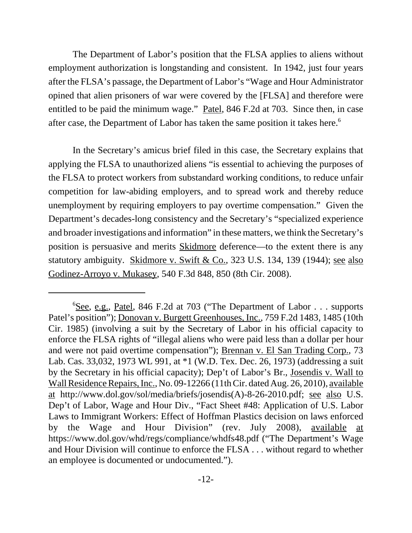The Department of Labor's position that the FLSA applies to aliens without employment authorization is longstanding and consistent. In 1942, just four years after the FLSA's passage, the Department of Labor's "Wage and Hour Administrator opined that alien prisoners of war were covered by the [FLSA] and therefore were entitled to be paid the minimum wage." Patel, 846 F.2d at 703. Since then, in case after case, the Department of Labor has taken the same position it takes here.<sup>6</sup>

In the Secretary's amicus brief filed in this case, the Secretary explains that applying the FLSA to unauthorized aliens "is essential to achieving the purposes of the FLSA to protect workers from substandard working conditions, to reduce unfair competition for law-abiding employers, and to spread work and thereby reduce unemployment by requiring employers to pay overtime compensation." Given the Department's decades-long consistency and the Secretary's "specialized experience and broader investigations and information" in these matters, we think the Secretary's position is persuasive and merits Skidmore deference—to the extent there is any statutory ambiguity. Skidmore v. Swift & Co., 323 U.S. 134, 139 (1944); see also Godinez-Arroyo v. Mukasey, 540 F.3d 848, 850 (8th Cir. 2008).

<sup>&</sup>lt;sup>6</sup>See, e.g., Patel, 846 F.2d at 703 ("The Department of Labor . . . supports Patel's position"); Donovan v. Burgett Greenhouses, Inc., 759 F.2d 1483, 1485 (10th Cir. 1985) (involving a suit by the Secretary of Labor in his official capacity to enforce the FLSA rights of "illegal aliens who were paid less than a dollar per hour and were not paid overtime compensation"); Brennan v. El San Trading Corp., 73 Lab. Cas. 33,032, 1973 WL 991, at \*1 (W.D. Tex. Dec. 26, 1973) (addressing a suit by the Secretary in his official capacity); Dep't of Labor's Br., Josendis v. Wall to Wall Residence Repairs, Inc., No. 09-12266 (11th Cir. dated Aug. 26, 2010), available at http://www.dol.gov/sol/media/briefs/josendis(A)-8-26-2010.pdf; see also U.S. Dep't of Labor, Wage and Hour Div., "Fact Sheet #48: Application of U.S. Labor Laws to Immigrant Workers: Effect of Hoffman Plastics decision on laws enforced by the Wage and Hour Division" (rev. July 2008), available at https://www.dol.gov/whd/regs/compliance/whdfs48.pdf ("The Department's Wage and Hour Division will continue to enforce the FLSA . . . without regard to whether an employee is documented or undocumented.").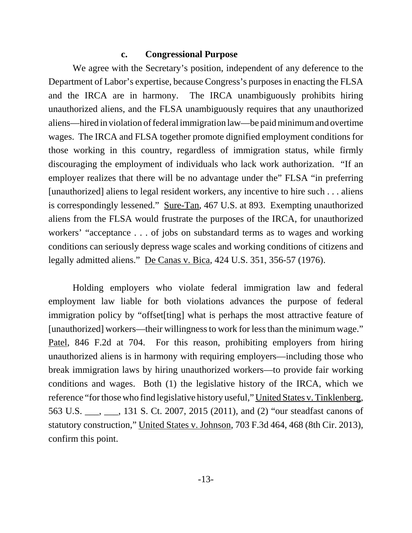### **c. Congressional Purpose**

We agree with the Secretary's position, independent of any deference to the Department of Labor's expertise, because Congress's purposes in enacting the FLSA and the IRCA are in harmony. The IRCA unambiguously prohibits hiring unauthorized aliens, and the FLSA unambiguously requires that any unauthorized aliens—hired in violation of federal immigration law—be paid minimum and overtime wages. The IRCA and FLSA together promote dignified employment conditions for those working in this country, regardless of immigration status, while firmly discouraging the employment of individuals who lack work authorization. "If an employer realizes that there will be no advantage under the" FLSA "in preferring [unauthorized] aliens to legal resident workers, any incentive to hire such . . . aliens is correspondingly lessened." Sure-Tan, 467 U.S. at 893. Exempting unauthorized aliens from the FLSA would frustrate the purposes of the IRCA, for unauthorized workers' "acceptance . . . of jobs on substandard terms as to wages and working conditions can seriously depress wage scales and working conditions of citizens and legally admitted aliens." De Canas v. Bica, 424 U.S. 351, 356-57 (1976).

Holding employers who violate federal immigration law and federal employment law liable for both violations advances the purpose of federal immigration policy by "offset[ting] what is perhaps the most attractive feature of [unauthorized] workers—their willingness to work for less than the minimum wage." Patel, 846 F.2d at 704. For this reason, prohibiting employers from hiring unauthorized aliens is in harmony with requiring employers—including those who break immigration laws by hiring unauthorized workers—to provide fair working conditions and wages. Both (1) the legislative history of the IRCA, which we reference "for those who find legislative history useful," United States v. Tinklenberg, 563 U.S. \_\_\_, \_\_\_, 131 S. Ct. 2007, 2015 (2011), and (2) "our steadfast canons of statutory construction," United States v. Johnson, 703 F.3d 464, 468 (8th Cir. 2013), confirm this point.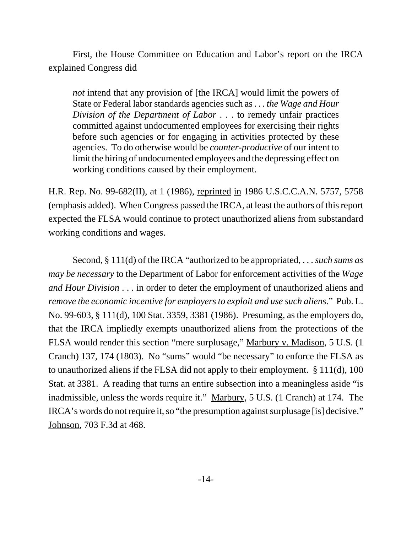First, the House Committee on Education and Labor's report on the IRCA explained Congress did

*not* intend that any provision of [the IRCA] would limit the powers of State or Federal labor standards agencies such as . . . *the Wage and Hour Division of the Department of Labor* . . . to remedy unfair practices committed against undocumented employees for exercising their rights before such agencies or for engaging in activities protected by these agencies. To do otherwise would be *counter-productive* of our intent to limit the hiring of undocumented employees and the depressing effect on working conditions caused by their employment.

H.R. Rep. No. 99-682(II), at 1 (1986), reprinted in 1986 U.S.C.C.A.N. 5757, 5758 (emphasis added). When Congress passed the IRCA, at least the authors of this report expected the FLSA would continue to protect unauthorized aliens from substandard working conditions and wages.

Second, § 111(d) of the IRCA "authorized to be appropriated, . . . *such sums as may be necessary* to the Department of Labor for enforcement activities of the *Wage and Hour Division* . . . in order to deter the employment of unauthorized aliens and *remove the economic incentive for employers to exploit and use such aliens*." Pub. L. No. 99-603, § 111(d), 100 Stat. 3359, 3381 (1986). Presuming, as the employers do, that the IRCA impliedly exempts unauthorized aliens from the protections of the FLSA would render this section "mere surplusage," Marbury v. Madison, 5 U.S. (1 Cranch) 137, 174 (1803). No "sums" would "be necessary" to enforce the FLSA as to unauthorized aliens if the FLSA did not apply to their employment. § 111(d), 100 Stat. at 3381. A reading that turns an entire subsection into a meaningless aside "is inadmissible, unless the words require it." Marbury, 5 U.S. (1 Cranch) at 174. The IRCA's words do not require it, so "the presumption against surplusage [is] decisive." Johnson, 703 F.3d at 468.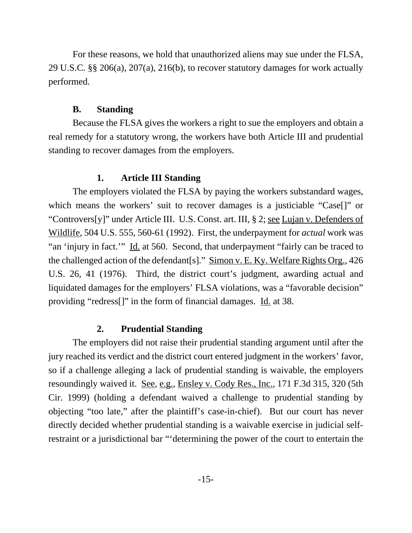For these reasons, we hold that unauthorized aliens may sue under the FLSA, 29 U.S.C. §§ 206(a), 207(a), 216(b), to recover statutory damages for work actually performed.

# **B. Standing**

Because the FLSA gives the workers a right to sue the employers and obtain a real remedy for a statutory wrong, the workers have both Article III and prudential standing to recover damages from the employers.

# **1. Article III Standing**

The employers violated the FLSA by paying the workers substandard wages, which means the workers' suit to recover damages is a justiciable "Case[]" or "Controvers[y]" under Article III. U.S. Const. art. III, § 2; see Lujan v. Defenders of Wildlife, 504 U.S. 555, 560-61 (1992). First, the underpayment for *actual* work was "an 'injury in fact.'" Id. at 560. Second, that underpayment "fairly can be traced to the challenged action of the defendant[s]." Simon v. E. Ky. Welfare Rights Org., 426 U.S. 26, 41 (1976). Third, the district court's judgment, awarding actual and liquidated damages for the employers' FLSA violations, was a "favorable decision" providing "redress[]" in the form of financial damages. Id. at 38.

# **2. Prudential Standing**

The employers did not raise their prudential standing argument until after the jury reached its verdict and the district court entered judgment in the workers' favor, so if a challenge alleging a lack of prudential standing is waivable, the employers resoundingly waived it. See, e.g., Ensley v. Cody Res., Inc., 171 F.3d 315, 320 (5th Cir. 1999) (holding a defendant waived a challenge to prudential standing by objecting "too late," after the plaintiff's case-in-chief). But our court has never directly decided whether prudential standing is a waivable exercise in judicial selfrestraint or a jurisdictional bar "'determining the power of the court to entertain the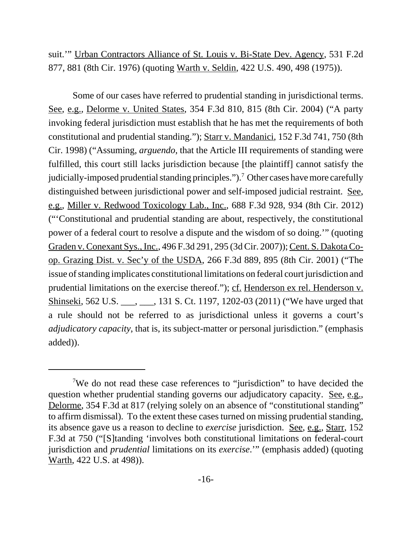suit.'" Urban Contractors Alliance of St. Louis v. Bi-State Dev. Agency, 531 F.2d 877, 881 (8th Cir. 1976) (quoting Warth v. Seldin, 422 U.S. 490, 498 (1975)).

Some of our cases have referred to prudential standing in jurisdictional terms. See, e.g., Delorme v. United States, 354 F.3d 810, 815 (8th Cir. 2004) ("A party invoking federal jurisdiction must establish that he has met the requirements of both constitutional and prudential standing."); Starr v. Mandanici, 152 F.3d 741, 750 (8th Cir. 1998) ("Assuming, *arguendo*, that the Article III requirements of standing were fulfilled, this court still lacks jurisdiction because [the plaintiff] cannot satisfy the judicially-imposed prudential standing principles.").<sup>7</sup> Other cases have more carefully distinguished between jurisdictional power and self-imposed judicial restraint. See, e.g., Miller v. Redwood Toxicology Lab., Inc., 688 F.3d 928, 934 (8th Cir. 2012) ("'Constitutional and prudential standing are about, respectively, the constitutional power of a federal court to resolve a dispute and the wisdom of so doing.'" (quoting Graden v. Conexant Sys., Inc., 496 F.3d 291, 295 (3d Cir. 2007)); Cent. S. Dakota Coop. Grazing Dist. v. Sec'y of the USDA, 266 F.3d 889, 895 (8th Cir. 2001) ("The issue of standing implicates constitutional limitations on federal court jurisdiction and prudential limitations on the exercise thereof."); cf. Henderson ex rel. Henderson v. Shinseki, 562 U.S. \_\_\_, \_\_\_, 131 S. Ct. 1197, 1202-03 (2011) ("We have urged that a rule should not be referred to as jurisdictional unless it governs a court's *adjudicatory capacity*, that is, its subject-matter or personal jurisdiction." (emphasis added)).

<sup>&</sup>lt;sup>7</sup>We do not read these case references to "jurisdiction" to have decided the question whether prudential standing governs our adjudicatory capacity. See, e.g., Delorme, 354 F.3d at 817 (relying solely on an absence of "constitutional standing" to affirm dismissal). To the extent these cases turned on missing prudential standing, its absence gave us a reason to decline to *exercise* jurisdiction. See, e.g., Starr, 152 F.3d at 750 ("[S]tanding 'involves both constitutional limitations on federal-court jurisdiction and *prudential* limitations on its *exercise*.'" (emphasis added) (quoting Warth, 422 U.S. at 498)).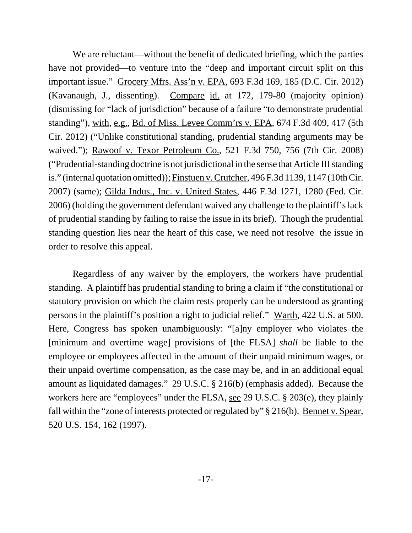We are reluctant—without the benefit of dedicated briefing, which the parties have not provided—to venture into the "deep and important circuit split on this important issue." Grocery Mfrs. Ass'n v. EPA, 693 F.3d 169, 185 (D.C. Cir. 2012) (Kavanaugh, J., dissenting). Compare id. at 172, 179-80 (majority opinion) (dismissing for "lack of jurisdiction" because of a failure "to demonstrate prudential standing"), with, e.g., Bd. of Miss. Levee Comm'rs v. EPA, 674 F.3d 409, 417 (5th Cir. 2012) ("Unlike constitutional standing, prudential standing arguments may be waived."); Rawoof v. Texor Petroleum Co., 521 F.3d 750, 756 (7th Cir. 2008) ("Prudential-standing doctrine is not jurisdictional in the sense that Article III standing is." (internal quotation omitted)); Finstuen v. Crutcher, 496 F.3d 1139, 1147 (10th Cir. 2007) (same); Gilda Indus., Inc. v. United States, 446 F.3d 1271, 1280 (Fed. Cir. 2006) (holding the government defendant waived any challenge to the plaintiff's lack of prudential standing by failing to raise the issue in its brief). Though the prudential standing question lies near the heart of this case, we need not resolve the issue in order to resolve this appeal.

Regardless of any waiver by the employers, the workers have prudential standing. A plaintiff has prudential standing to bring a claim if "the constitutional or statutory provision on which the claim rests properly can be understood as granting persons in the plaintiff's position a right to judicial relief." Warth, 422 U.S. at 500. Here, Congress has spoken unambiguously: "[a]ny employer who violates the [minimum and overtime wage] provisions of [the FLSA] *shall* be liable to the employee or employees affected in the amount of their unpaid minimum wages, or their unpaid overtime compensation, as the case may be, and in an additional equal amount as liquidated damages." 29 U.S.C. § 216(b) (emphasis added). Because the workers here are "employees" under the FLSA, see 29 U.S.C. § 203(e), they plainly fall within the "zone of interests protected or regulated by" § 216(b). Bennet v. Spear, 520 U.S. 154, 162 (1997).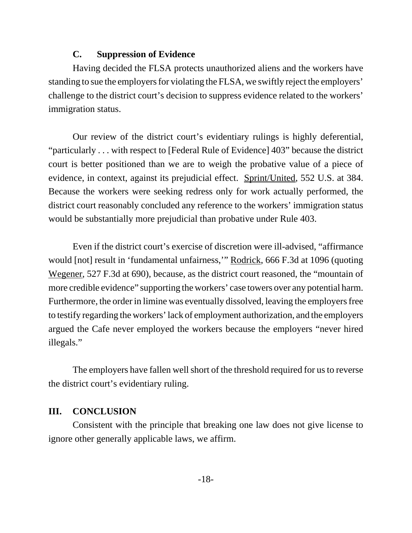## **C. Suppression of Evidence**

Having decided the FLSA protects unauthorized aliens and the workers have standing to sue the employers for violating the FLSA, we swiftly reject the employers' challenge to the district court's decision to suppress evidence related to the workers' immigration status.

Our review of the district court's evidentiary rulings is highly deferential, "particularly . . . with respect to [Federal Rule of Evidence] 403" because the district court is better positioned than we are to weigh the probative value of a piece of evidence, in context, against its prejudicial effect. Sprint/United, 552 U.S. at 384. Because the workers were seeking redress only for work actually performed, the district court reasonably concluded any reference to the workers' immigration status would be substantially more prejudicial than probative under Rule 403.

Even if the district court's exercise of discretion were ill-advised, "affirmance would [not] result in 'fundamental unfairness,'" Rodrick, 666 F.3d at 1096 (quoting Wegener, 527 F.3d at 690), because, as the district court reasoned, the "mountain of more credible evidence" supporting the workers' case towers over any potential harm. Furthermore, the order in limine was eventually dissolved, leaving the employers free to testify regarding the workers' lack of employment authorization, and the employers argued the Cafe never employed the workers because the employers "never hired illegals."

The employers have fallen well short of the threshold required for us to reverse the district court's evidentiary ruling.

### **III. CONCLUSION**

Consistent with the principle that breaking one law does not give license to ignore other generally applicable laws, we affirm.